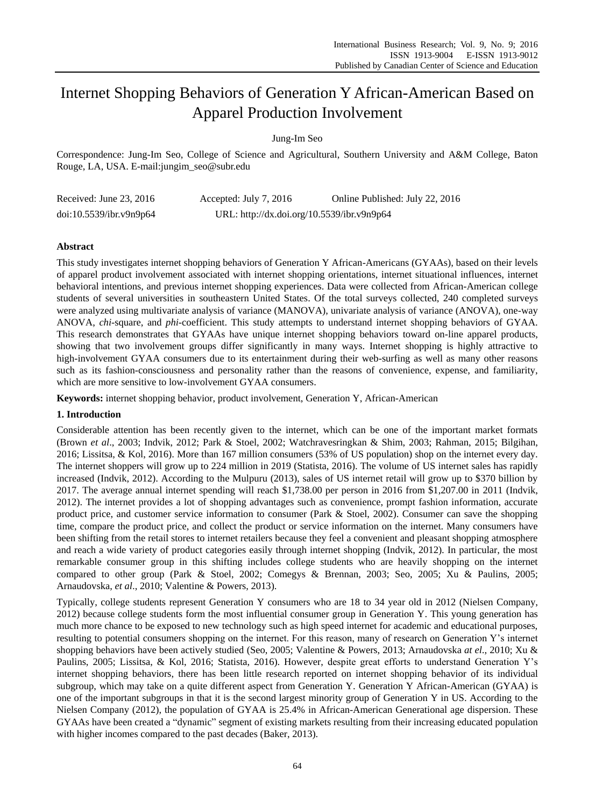# Internet Shopping Behaviors of Generation Y African-American Based on Apparel Production Involvement

Jung-Im Seo

Correspondence: Jung-Im Seo, College of Science and Agricultural, Southern University and A&M College, Baton Rouge, LA, USA. E-mail:jungim\_seo@subr.edu

| Received: June $23, 2016$ | Accepted: July 7, $2016$                   | Online Published: July 22, 2016 |
|---------------------------|--------------------------------------------|---------------------------------|
| doi:10.5539/ibr.v9n9p64   | URL: http://dx.doi.org/10.5539/ibr.v9n9p64 |                                 |

# **Abstract**

This study investigates internet shopping behaviors of Generation Y African-Americans (GYAAs), based on their levels of apparel product involvement associated with internet shopping orientations, internet situational influences, internet behavioral intentions, and previous internet shopping experiences. Data were collected from African-American college students of several universities in southeastern United States. Of the total surveys collected, 240 completed surveys were analyzed using multivariate analysis of variance (MANOVA), univariate analysis of variance (ANOVA), one-way ANOVA, *chi*-square, and *phi*-coefficient. This study attempts to understand internet shopping behaviors of GYAA. This research demonstrates that GYAAs have unique internet shopping behaviors toward on-line apparel products, showing that two involvement groups differ significantly in many ways. Internet shopping is highly attractive to high-involvement GYAA consumers due to its entertainment during their web-surfing as well as many other reasons such as its fashion-consciousness and personality rather than the reasons of convenience, expense, and familiarity, which are more sensitive to low-involvement GYAA consumers.

**Keywords:** internet shopping behavior, product involvement, Generation Y, African-American

# **1. Introduction**

Considerable attention has been recently given to the internet, which can be one of the important market formats (Brown *et al*., 2003; Indvik, 2012; Park & Stoel, 2002; Watchravesringkan & Shim, 2003; Rahman, 2015; Bilgihan, 2016; Lissitsa, & Kol, 2016). More than 167 million consumers (53% of US population) shop on the internet every day. The internet shoppers will grow up to 224 million in 2019 (Statista, 2016). The volume of US internet sales has rapidly increased (Indvik, 2012). According to the Mulpuru (2013), sales of US internet retail will grow up to \$370 billion by 2017. The average annual internet spending will reach \$1,738.00 per person in 2016 from \$1,207.00 in 2011 (Indvik, 2012). The internet provides a lot of shopping advantages such as convenience, prompt fashion information, accurate product price, and customer service information to consumer (Park & Stoel, 2002). Consumer can save the shopping time, compare the product price, and collect the product or service information on the internet. Many consumers have been shifting from the retail stores to internet retailers because they feel a convenient and pleasant shopping atmosphere and reach a wide variety of product categories easily through internet shopping (Indvik, 2012). In particular, the most remarkable consumer group in this shifting includes college students who are heavily shopping on the internet compared to other group (Park & Stoel, 2002; Comegys & Brennan, 2003; Seo, 2005; Xu & Paulins, 2005; Arnaudovska, *et al*., 2010; Valentine & Powers, 2013).

Typically, college students represent Generation Y consumers who are 18 to 34 year old in 2012 (Nielsen Company, 2012) because college students form the most influential consumer group in Generation Y. This young generation has much more chance to be exposed to new technology such as high speed internet for academic and educational purposes, resulting to potential consumers shopping on the internet. For this reason, many of research on Generation Y's internet shopping behaviors have been actively studied (Seo, 2005; Valentine & Powers, 2013; Arnaudovska *at el*., 2010; Xu & Paulins, 2005; Lissitsa, & Kol, 2016; Statista, 2016). However, despite great efforts to understand Generation Y's internet shopping behaviors, there has been little research reported on internet shopping behavior of its individual subgroup, which may take on a quite different aspect from Generation Y. Generation Y African-American (GYAA) is one of the important subgroups in that it is the second largest minority group of Generation Y in US. According to the Nielsen Company (2012), the population of GYAA is 25.4% in African-American Generational age dispersion. These GYAAs have been created a "dynamic" segment of existing markets resulting from their increasing educated population with higher incomes compared to the past decades (Baker, 2013).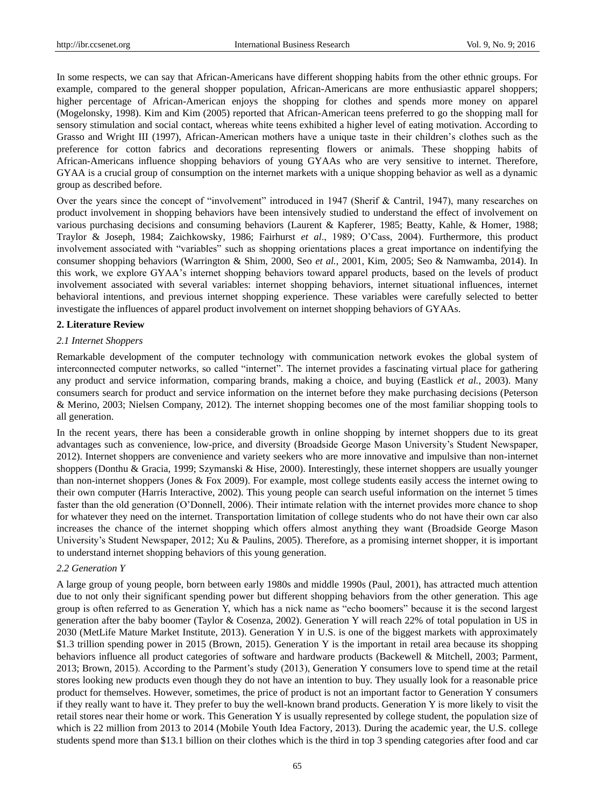In some respects, we can say that African-Americans have different shopping habits from the other ethnic groups. For example, compared to the general shopper population, African-Americans are more enthusiastic apparel shoppers; higher percentage of African-American enjoys the shopping for clothes and spends more money on apparel (Mogelonsky, 1998). Kim and Kim (2005) reported that African-American teens preferred to go the shopping mall for sensory stimulation and social contact, whereas white teens exhibited a higher level of eating motivation. According to Grasso and Wright III (1997), African-American mothers have a unique taste in their children's clothes such as the preference for cotton fabrics and decorations representing flowers or animals. These shopping habits of African-Americans influence shopping behaviors of young GYAAs who are very sensitive to internet. Therefore, GYAA is a crucial group of consumption on the internet markets with a unique shopping behavior as well as a dynamic group as described before.

Over the years since the concept of "involvement" introduced in 1947 (Sherif & Cantril, 1947), many researches on product involvement in shopping behaviors have been intensively studied to understand the effect of involvement on various purchasing decisions and consuming behaviors (Laurent & Kapferer, 1985; Beatty, Kahle, & Homer, 1988; Traylor & Joseph, 1984; Zaichkowsky, 1986; Fairhurst *et al*., 1989; O'Cass, 2004). Furthermore, this product involvement associated with "variables" such as shopping orientations places a great importance on indentifying the consumer shopping behaviors (Warrington & Shim, 2000, Seo *et al.*, 2001, Kim, 2005; Seo & Namwamba, 2014). In this work, we explore GYAA's internet shopping behaviors toward apparel products, based on the levels of product involvement associated with several variables: internet shopping behaviors, internet situational influences, internet behavioral intentions, and previous internet shopping experience. These variables were carefully selected to better investigate the influences of apparel product involvement on internet shopping behaviors of GYAAs.

## **2. Literature Review**

## *2.1 Internet Shoppers*

Remarkable development of the computer technology with communication network evokes the global system of interconnected computer networks, so called "internet". The internet provides a fascinating virtual place for gathering any product and service information, comparing brands, making a choice, and buying (Eastlick *et al.*, 2003). Many consumers search for product and service information on the internet before they make purchasing decisions (Peterson & Merino, 2003; Nielsen Company, 2012). The internet shopping becomes one of the most familiar shopping tools to all generation.

In the recent years, there has been a considerable growth in online shopping by internet shoppers due to its great advantages such as convenience, low-price, and diversity (Broadside George Mason University's Student Newspaper, 2012). Internet shoppers are convenience and variety seekers who are more innovative and impulsive than non-internet shoppers (Donthu & Gracia, 1999; Szymanski & Hise, 2000). Interestingly, these internet shoppers are usually younger than non-internet shoppers (Jones & Fox 2009). For example, most college students easily access the internet owing to their own computer (Harris Interactive, 2002). This young people can search useful information on the internet 5 times faster than the old generation (O'Donnell, 2006). Their intimate relation with the internet provides more chance to shop for whatever they need on the internet. Transportation limitation of college students who do not have their own car also increases the chance of the internet shopping which offers almost anything they want (Broadside George Mason University's Student Newspaper, 2012; Xu & Paulins, 2005). Therefore, as a promising internet shopper, it is important to understand internet shopping behaviors of this young generation.

## *2.2 Generation Y*

A large group of young people, born between early 1980s and middle 1990s (Paul, 2001), has attracted much attention due to not only their significant spending power but different shopping behaviors from the other generation. This age group is often referred to as Generation Y, which has a nick name as "echo boomers" because it is the second largest generation after the baby boomer (Taylor & Cosenza, 2002). Generation Y will reach 22% of total population in US in 2030 (MetLife Mature Market Institute, 2013). Generation Y in U.S. is one of the biggest markets with approximately \$1.3 trillion spending power in 2015 (Brown, 2015). Generation Y is the important in retail area because its shopping behaviors influence all product categories of software and hardware products (Backewell & Mitchell, 2003; Parment, 2013; Brown, 2015). According to the Parment's study (2013), Generation Y consumers love to spend time at the retail stores looking new products even though they do not have an intention to buy. They usually look for a reasonable price product for themselves. However, sometimes, the price of product is not an important factor to Generation Y consumers if they really want to have it. They prefer to buy the well-known brand products. Generation Y is more likely to visit the retail stores near their home or work. This Generation Y is usually represented by college student, the population size of which is 22 million from 2013 to 2014 (Mobile Youth Idea Factory, 2013). During the academic year, the U.S. college students spend more than \$13.1 billion on their clothes which is the third in top 3 spending categories after food and car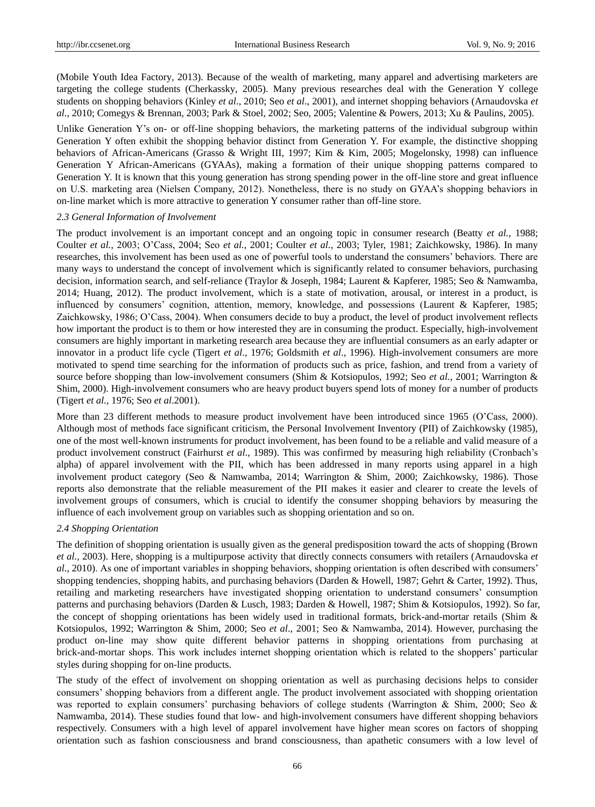(Mobile Youth Idea Factory, 2013). Because of the wealth of marketing, many apparel and advertising marketers are targeting the college students (Cherkassky, 2005). Many previous researches deal with the Generation Y college students on shopping behaviors (Kinley *et al*., 2010; Seo *et al*., 2001), and internet shopping behaviors (Arnaudovska *et al*., 2010; Comegys & Brennan, 2003; Park & Stoel, 2002; Seo, 2005; Valentine & Powers, 2013; Xu & Paulins, 2005).

Unlike Generation Y's on- or off-line shopping behaviors, the marketing patterns of the individual subgroup within Generation Y often exhibit the shopping behavior distinct from Generation Y. For example, the distinctive shopping behaviors of African-Americans (Grasso & Wright III, 1997; Kim & Kim, 2005; Mogelonsky, 1998) can influence Generation Y African-Americans (GYAAs), making a formation of their unique shopping patterns compared to Generation Y. It is known that this young generation has strong spending power in the off-line store and great influence on U.S. marketing area (Nielsen Company, 2012). Nonetheless, there is no study on GYAA's shopping behaviors in on-line market which is more attractive to generation Y consumer rather than off-line store.

## *2.3 General Information of Involvement*

The product involvement is an important concept and an ongoing topic in consumer research (Beatty *et al.*, 1988; Coulter *et al.*, 2003; O'Cass, 2004; Seo *et al.*, 2001; Coulter *et al.*, 2003; Tyler, 1981; Zaichkowsky, 1986). In many researches, this involvement has been used as one of powerful tools to understand the consumers' behaviors. There are many ways to understand the concept of involvement which is significantly related to consumer behaviors, purchasing decision, information search, and self-reliance (Traylor & Joseph, 1984; Laurent & Kapferer, 1985; Seo & Namwamba, 2014; Huang, 2012). The product involvement, which is a state of motivation, arousal, or interest in a product, is influenced by consumers' cognition, attention, memory, knowledge, and possessions (Laurent & Kapferer, 1985; Zaichkowsky, 1986; O'Cass, 2004). When consumers decide to buy a product, the level of product involvement reflects how important the product is to them or how interested they are in consuming the product. Especially, high-involvement consumers are highly important in marketing research area because they are influential consumers as an early adapter or innovator in a product life cycle (Tigert *et al*., 1976; Goldsmith *et al*., 1996). High-involvement consumers are more motivated to spend time searching for the information of products such as price, fashion, and trend from a variety of source before shopping than low-involvement consumers (Shim & Kotsiopulos, 1992; Seo *et al.*, 2001; Warrington & Shim, 2000). High-involvement consumers who are heavy product buyers spend lots of money for a number of products (Tigert *et al.,* 1976; Seo *et al*.2001).

More than 23 different methods to measure product involvement have been introduced since 1965 (O'Cass, 2000). Although most of methods face significant criticism, the Personal Involvement Inventory (PII) of Zaichkowsky (1985), one of the most well-known instruments for product involvement, has been found to be a reliable and valid measure of a product involvement construct (Fairhurst *et al*., 1989). This was confirmed by measuring high reliability (Cronbach's alpha) of apparel involvement with the PII, which has been addressed in many reports using apparel in a high involvement product category (Seo & Namwamba, 2014; Warrington & Shim, 2000; Zaichkowsky, 1986). Those reports also demonstrate that the reliable measurement of the PII makes it easier and clearer to create the levels of involvement groups of consumers, which is crucial to identify the consumer shopping behaviors by measuring the influence of each involvement group on variables such as shopping orientation and so on.

## *2.4 Shopping Orientation*

The definition of shopping orientation is usually given as the general predisposition toward the acts of shopping (Brown *et al.,* 2003). Here, shopping is a multipurpose activity that directly connects consumers with retailers (Arnaudovska *et al*., 2010). As one of important variables in shopping behaviors, shopping orientation is often described with consumers' shopping tendencies, shopping habits, and purchasing behaviors (Darden & Howell, 1987; Gehrt & Carter, 1992). Thus, retailing and marketing researchers have investigated shopping orientation to understand consumers' consumption patterns and purchasing behaviors (Darden & Lusch, 1983; Darden & Howell, 1987; Shim & Kotsiopulos, 1992). So far, the concept of shopping orientations has been widely used in traditional formats, brick-and-mortar retails (Shim & Kotsiopulos, 1992; Warrington & Shim, 2000; Seo *et al*., 2001; Seo & Namwamba, 2014). However, purchasing the product on-line may show quite different behavior patterns in shopping orientations from purchasing at brick-and-mortar shops. This work includes internet shopping orientation which is related to the shoppers' particular styles during shopping for on-line products.

The study of the effect of involvement on shopping orientation as well as purchasing decisions helps to consider consumers' shopping behaviors from a different angle. The product involvement associated with shopping orientation was reported to explain consumers' purchasing behaviors of college students (Warrington & Shim, 2000; Seo & Namwamba, 2014). These studies found that low- and high-involvement consumers have different shopping behaviors respectively. Consumers with a high level of apparel involvement have higher mean scores on factors of shopping orientation such as fashion consciousness and brand consciousness, than apathetic consumers with a low level of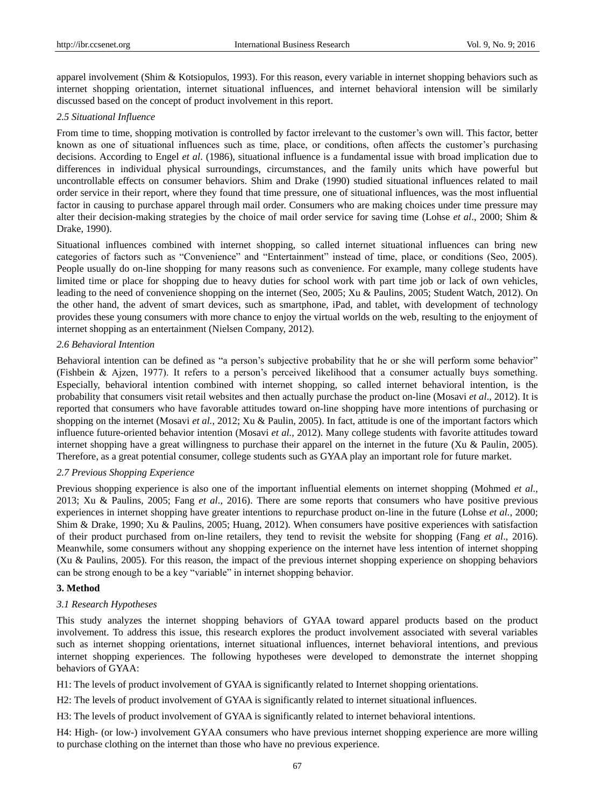apparel involvement (Shim & Kotsiopulos, 1993). For this reason, every variable in internet shopping behaviors such as internet shopping orientation, internet situational influences, and internet behavioral intension will be similarly discussed based on the concept of product involvement in this report.

## *2.5 Situational Influence*

From time to time, shopping motivation is controlled by factor irrelevant to the customer's own will. This factor, better known as one of situational influences such as time, place, or conditions, often affects the customer's purchasing decisions. According to Engel *et al*. (1986), situational influence is a fundamental issue with broad implication due to differences in individual physical surroundings, circumstances, and the family units which have powerful but uncontrollable effects on consumer behaviors. Shim and Drake (1990) studied situational influences related to mail order service in their report, where they found that time pressure, one of situational influences, was the most influential factor in causing to purchase apparel through mail order. Consumers who are making choices under time pressure may alter their decision-making strategies by the choice of mail order service for saving time (Lohse *et al*., 2000; Shim & Drake, 1990).

Situational influences combined with internet shopping, so called internet situational influences can bring new categories of factors such as "Convenience" and "Entertainment" instead of time, place, or conditions (Seo, 2005). People usually do on-line shopping for many reasons such as convenience. For example, many college students have limited time or place for shopping due to heavy duties for school work with part time job or lack of own vehicles, leading to the need of convenience shopping on the internet (Seo, 2005; Xu & Paulins, 2005; Student Watch, 2012). On the other hand, the advent of smart devices, such as smartphone, iPad, and tablet, with development of technology provides these young consumers with more chance to enjoy the virtual worlds on the web, resulting to the enjoyment of internet shopping as an entertainment (Nielsen Company, 2012).

## *2.6 Behavioral Intention*

Behavioral intention can be defined as "a person's subjective probability that he or she will perform some behavior" (Fishbein & Ajzen, 1977). It refers to a person's perceived likelihood that a consumer actually buys something. Especially, behavioral intention combined with internet shopping, so called internet behavioral intention, is the probability that consumers visit retail websites and then actually purchase the product on-line (Mosavi *et al*., 2012). It is reported that consumers who have favorable attitudes toward on-line shopping have more intentions of purchasing or shopping on the internet (Mosavi *et al.,* 2012; Xu & Paulin, 2005). In fact, attitude is one of the important factors which influence future-oriented behavior intention (Mosavi *et al.,* 2012). Many college students with favorite attitudes toward internet shopping have a great willingness to purchase their apparel on the internet in the future (Xu & Paulin, 2005). Therefore, as a great potential consumer, college students such as GYAA play an important role for future market.

## *2.7 Previous Shopping Experience*

Previous shopping experience is also one of the important influential elements on internet shopping (Mohmed *et al*., 2013; Xu & Paulins, 2005; Fang *et al*., 2016). There are some reports that consumers who have positive previous experiences in internet shopping have greater intentions to repurchase product on-line in the future (Lohse *et al.*, 2000; Shim & Drake, 1990; Xu & Paulins, 2005; Huang, 2012). When consumers have positive experiences with satisfaction of their product purchased from on-line retailers, they tend to revisit the website for shopping (Fang *et al*., 2016). Meanwhile, some consumers without any shopping experience on the internet have less intention of internet shopping (Xu & Paulins, 2005). For this reason, the impact of the previous internet shopping experience on shopping behaviors can be strong enough to be a key "variable" in internet shopping behavior.

# **3. Method**

## *3.1 Research Hypotheses*

This study analyzes the internet shopping behaviors of GYAA toward apparel products based on the product involvement. To address this issue, this research explores the product involvement associated with several variables such as internet shopping orientations, internet situational influences, internet behavioral intentions, and previous internet shopping experiences. The following hypotheses were developed to demonstrate the internet shopping behaviors of GYAA:

H1: The levels of product involvement of GYAA is significantly related to Internet shopping orientations.

H2: The levels of product involvement of GYAA is significantly related to internet situational influences.

H3: The levels of product involvement of GYAA is significantly related to internet behavioral intentions.

H4: High- (or low-) involvement GYAA consumers who have previous internet shopping experience are more willing to purchase clothing on the internet than those who have no previous experience.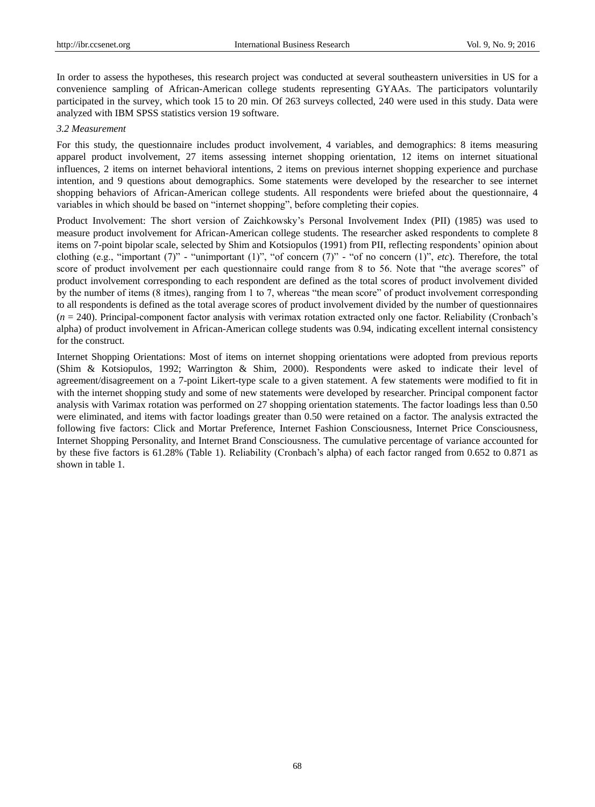In order to assess the hypotheses, this research project was conducted at several southeastern universities in US for a convenience sampling of African-American college students representing GYAAs. The participators voluntarily participated in the survey, which took 15 to 20 min. Of 263 surveys collected, 240 were used in this study. Data were analyzed with IBM SPSS statistics version 19 software.

#### *3.2 Measurement*

For this study, the questionnaire includes product involvement, 4 variables, and demographics: 8 items measuring apparel product involvement, 27 items assessing internet shopping orientation, 12 items on internet situational influences, 2 items on internet behavioral intentions, 2 items on previous internet shopping experience and purchase intention, and 9 questions about demographics. Some statements were developed by the researcher to see internet shopping behaviors of African-American college students. All respondents were briefed about the questionnaire, 4 variables in which should be based on "internet shopping", before completing their copies.

Product Involvement: The short version of Zaichkowsky's Personal Involvement Index (PII) (1985) was used to measure product involvement for African-American college students. The researcher asked respondents to complete 8 items on 7-point bipolar scale, selected by Shim and Kotsiopulos (1991) from PII, reflecting respondents' opinion about clothing (e.g., "important (7)" - "unimportant (1)", "of concern (7)" - "of no concern (1)", *etc*). Therefore, the total score of product involvement per each questionnaire could range from 8 to 56. Note that "the average scores" of product involvement corresponding to each respondent are defined as the total scores of product involvement divided by the number of items (8 itmes), ranging from 1 to 7, whereas "the mean score" of product involvement corresponding to all respondents is defined as the total average scores of product involvement divided by the number of questionnaires (*n* = 240). Principal-component factor analysis with verimax rotation extracted only one factor. Reliability (Cronbach's alpha) of product involvement in African-American college students was 0.94, indicating excellent internal consistency for the construct.

Internet Shopping Orientations: Most of items on internet shopping orientations were adopted from previous reports (Shim & Kotsiopulos, 1992; Warrington & Shim, 2000). Respondents were asked to indicate their level of agreement/disagreement on a 7-point Likert-type scale to a given statement. A few statements were modified to fit in with the internet shopping study and some of new statements were developed by researcher. Principal component factor analysis with Varimax rotation was performed on 27 shopping orientation statements. The factor loadings less than 0.50 were eliminated, and items with factor loadings greater than 0.50 were retained on a factor. The analysis extracted the following five factors: Click and Mortar Preference, Internet Fashion Consciousness, Internet Price Consciousness, Internet Shopping Personality, and Internet Brand Consciousness. The cumulative percentage of variance accounted for by these five factors is 61.28% (Table 1). Reliability (Cronbach's alpha) of each factor ranged from 0.652 to 0.871 as shown in table 1.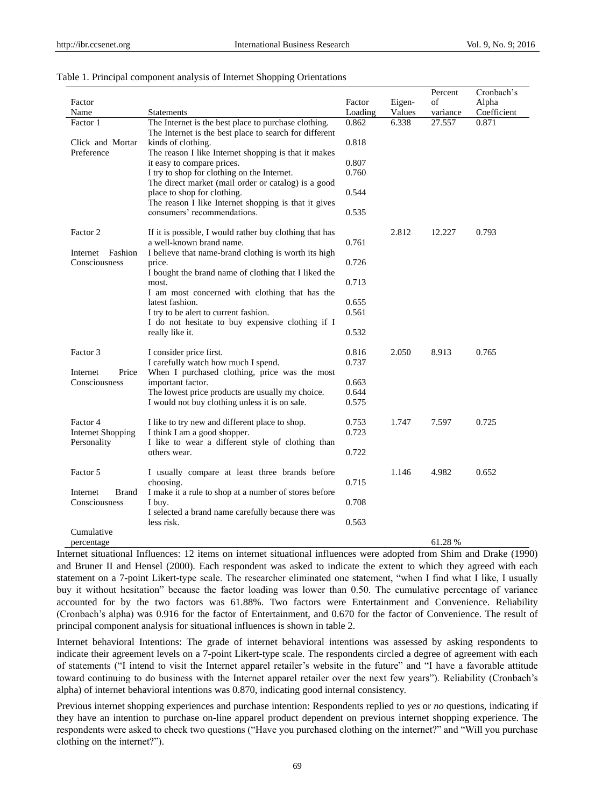|                                      |                                                                                                                                   |                |        | Percent  | Cronbach's  |
|--------------------------------------|-----------------------------------------------------------------------------------------------------------------------------------|----------------|--------|----------|-------------|
| Factor                               |                                                                                                                                   | Factor         | Eigen- | of       | Alpha       |
| Name                                 | <b>Statements</b>                                                                                                                 | Loading        | Values | variance | Coefficient |
| Factor 1                             | The Internet is the best place to purchase clothing.                                                                              | 0.862          | 6.338  | 27.557   | 0.871       |
| Click and Mortar<br>Preference       | The Internet is the best place to search for different<br>kinds of clothing.                                                      | 0.818          |        |          |             |
|                                      | The reason I like Internet shopping is that it makes<br>it easy to compare prices.<br>I try to shop for clothing on the Internet. | 0.807<br>0.760 |        |          |             |
|                                      | The direct market (mail order or catalog) is a good<br>place to shop for clothing.                                                | 0.544          |        |          |             |
|                                      | The reason I like Internet shopping is that it gives<br>consumers' recommendations.                                               | 0.535          |        |          |             |
| Factor 2                             | If it is possible, I would rather buy clothing that has<br>a well-known brand name.                                               | 0.761          | 2.812  | 12.227   | 0.793       |
| Fashion<br>Internet<br>Consciousness | I believe that name-brand clothing is worth its high<br>price.<br>I bought the brand name of clothing that I liked the            | 0.726          |        |          |             |
|                                      | most.<br>I am most concerned with clothing that has the                                                                           | 0.713          |        |          |             |
|                                      | latest fashion.                                                                                                                   | 0.655          |        |          |             |
|                                      | I try to be alert to current fashion.                                                                                             | 0.561          |        |          |             |
|                                      | I do not hesitate to buy expensive clothing if I<br>really like it.                                                               | 0.532          |        |          |             |
| Factor 3                             | I consider price first.<br>I carefully watch how much I spend.                                                                    | 0.816<br>0.737 | 2.050  | 8.913    | 0.765       |
| Internet<br>Price                    | When I purchased clothing, price was the most                                                                                     |                |        |          |             |
| Consciousness                        | important factor.                                                                                                                 | 0.663          |        |          |             |
|                                      | The lowest price products are usually my choice.                                                                                  | 0.644          |        |          |             |
|                                      | I would not buy clothing unless it is on sale.                                                                                    | 0.575          |        |          |             |
| Factor 4<br><b>Internet Shopping</b> | I like to try new and different place to shop.<br>I think I am a good shopper.                                                    | 0.753<br>0.723 | 1.747  | 7.597    | 0.725       |
| Personality                          | I like to wear a different style of clothing than<br>others wear.                                                                 | 0.722          |        |          |             |
|                                      |                                                                                                                                   |                |        |          |             |
| Factor 5<br><b>Brand</b><br>Internet | I usually compare at least three brands before<br>choosing.<br>I make it a rule to shop at a number of stores before              | 0.715          | 1.146  | 4.982    | 0.652       |
| Consciousness                        | I buy.<br>I selected a brand name carefully because there was                                                                     | 0.708          |        |          |             |
|                                      | less risk.                                                                                                                        | 0.563          |        |          |             |
| Cumulative                           |                                                                                                                                   |                |        |          |             |
| percentage                           |                                                                                                                                   |                |        | 61.28 %  |             |

## Table 1. Principal component analysis of Internet Shopping Orientations

Internet situational Influences: 12 items on internet situational influences were adopted from Shim and Drake (1990) and Bruner II and Hensel (2000). Each respondent was asked to indicate the extent to which they agreed with each statement on a 7-point Likert-type scale. The researcher eliminated one statement, "when I find what I like, I usually buy it without hesitation" because the factor loading was lower than 0.50. The cumulative percentage of variance accounted for by the two factors was 61.88%. Two factors were Entertainment and Convenience. Reliability (Cronbach's alpha) was 0.916 for the factor of Entertainment, and 0.670 for the factor of Convenience. The result of principal component analysis for situational influences is shown in table 2.

Internet behavioral Intentions: The grade of internet behavioral intentions was assessed by asking respondents to indicate their agreement levels on a 7-point Likert-type scale. The respondents circled a degree of agreement with each of statements ("I intend to visit the Internet apparel retailer's website in the future" and "I have a favorable attitude toward continuing to do business with the Internet apparel retailer over the next few years"). Reliability (Cronbach's alpha) of internet behavioral intentions was 0.870, indicating good internal consistency.

Previous internet shopping experiences and purchase intention: Respondents replied to *yes* or *no* questions, indicating if they have an intention to purchase on-line apparel product dependent on previous internet shopping experience. The respondents were asked to check two questions ("Have you purchased clothing on the internet?" and "Will you purchase clothing on the internet?").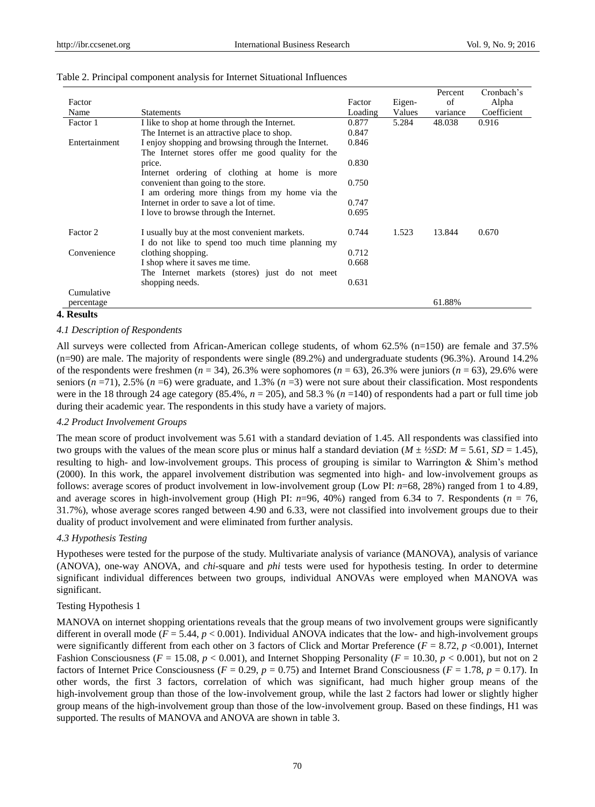|               |                                                     |         |        | Percent  | Cronbach's  |
|---------------|-----------------------------------------------------|---------|--------|----------|-------------|
| Factor        |                                                     | Factor  | Eigen- | of       | Alpha       |
| Name          | <b>Statements</b>                                   | Loading | Values | variance | Coefficient |
| Factor 1      | I like to shop at home through the Internet.        | 0.877   | 5.284  | 48.038   | 0.916       |
|               | The Internet is an attractive place to shop.        | 0.847   |        |          |             |
| Entertainment | I enjoy shopping and browsing through the Internet. | 0.846   |        |          |             |
|               | The Internet stores offer me good quality for the   |         |        |          |             |
|               | price.                                              | 0.830   |        |          |             |
|               | Internet ordering of clothing at home is more       |         |        |          |             |
|               | convenient than going to the store.                 | 0.750   |        |          |             |
|               | I am ordering more things from my home via the      |         |        |          |             |
|               | Internet in order to save a lot of time.            | 0.747   |        |          |             |
|               | I love to browse through the Internet.              | 0.695   |        |          |             |
| Factor 2      | I usually buy at the most convenient markets.       | 0.744   | 1.523  | 13.844   | 0.670       |
|               | I do not like to spend too much time planning my    |         |        |          |             |
| Convenience   | clothing shopping.                                  | 0.712   |        |          |             |
|               | I shop where it saves me time.                      | 0.668   |        |          |             |
|               | The Internet markets (stores) just do not meet      |         |        |          |             |
|               | shopping needs.                                     | 0.631   |        |          |             |
| Cumulative    |                                                     |         |        |          |             |
| percentage    |                                                     |         |        | 61.88%   |             |
|               |                                                     |         |        |          |             |

#### Table 2. Principal component analysis for Internet Situational Influences

## **4. Results**

#### *4.1 Description of Respondents*

All surveys were collected from African-American college students, of whom 62.5% (n=150) are female and 37.5% (n=90) are male. The majority of respondents were single (89.2%) and undergraduate students (96.3%). Around 14.2% of the respondents were freshmen  $(n = 34)$ , 26.3% were sophomores  $(n = 63)$ , 26.3% were juniors  $(n = 63)$ , 29.6% were seniors (*n* =71), 2.5% (*n* =6) were graduate, and 1.3% (*n* =3) were not sure about their classification. Most respondents were in the 18 through 24 age category  $(85.4\%, n = 205)$ , and 58.3 %  $(n = 140)$  of respondents had a part or full time job during their academic year. The respondents in this study have a variety of majors.

## *4.2 Product Involvement Groups*

The mean score of product involvement was 5.61 with a standard deviation of 1.45. All respondents was classified into two groups with the values of the mean score plus or minus half a standard deviation ( $M \pm \frac{1}{2}SD$ :  $M = 5.61$ ,  $SD = 1.45$ ), resulting to high- and low-involvement groups. This process of grouping is similar to Warrington & Shim's method (2000). In this work, the apparel involvement distribution was segmented into high- and low-involvement groups as follows: average scores of product involvement in low-involvement group (Low PI: *n*=68, 28%) ranged from 1 to 4.89, and average scores in high-involvement group (High PI:  $n=96$ , 40%) ranged from 6.34 to 7. Respondents ( $n = 76$ , 31.7%), whose average scores ranged between 4.90 and 6.33, were not classified into involvement groups due to their duality of product involvement and were eliminated from further analysis.

## *4.3 Hypothesis Testing*

Hypotheses were tested for the purpose of the study. Multivariate analysis of variance (MANOVA), analysis of variance (ANOVA), one-way ANOVA, and *chi*-square and *phi* tests were used for hypothesis testing. In order to determine significant individual differences between two groups, individual ANOVAs were employed when MANOVA was significant.

## Testing Hypothesis 1

MANOVA on internet shopping orientations reveals that the group means of two involvement groups were significantly different in overall mode ( $F = 5.44$ ,  $p < 0.001$ ). Individual ANOVA indicates that the low- and high-involvement groups were significantly different from each other on 3 factors of Click and Mortar Preference (*F* = 8.72, *p* <0.001), Internet Fashion Consciousness ( $F = 15.08$ ,  $p < 0.001$ ), and Internet Shopping Personality ( $F = 10.30$ ,  $p < 0.001$ ), but not on 2 factors of Internet Price Consciousness ( $F = 0.29$ ,  $p = 0.75$ ) and Internet Brand Consciousness ( $F = 1.78$ ,  $p = 0.17$ ). In other words, the first 3 factors, correlation of which was significant, had much higher group means of the high-involvement group than those of the low-involvement group, while the last 2 factors had lower or slightly higher group means of the high-involvement group than those of the low-involvement group. Based on these findings, H1 was supported. The results of MANOVA and ANOVA are shown in table 3.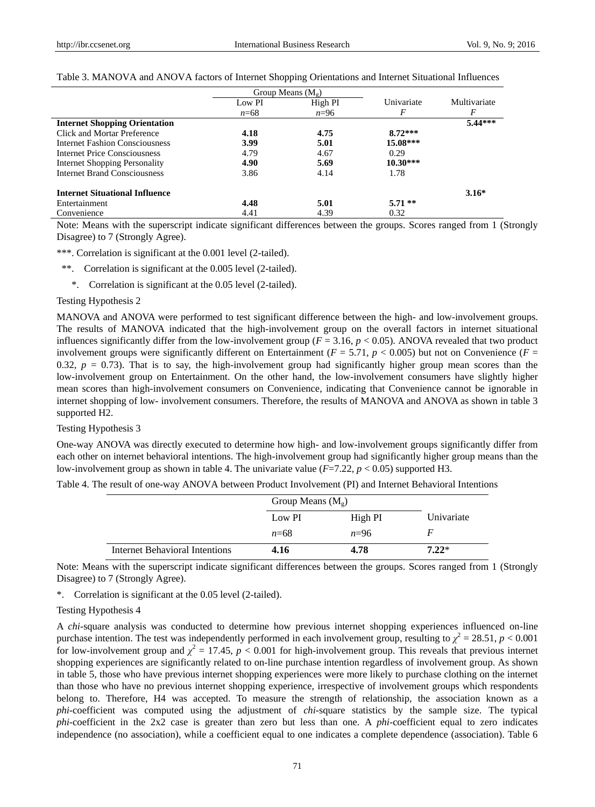|                                       |          | Group Means $(M_{\sigma})$ |            |              |
|---------------------------------------|----------|----------------------------|------------|--------------|
|                                       | Low PI   | High PI                    | Univariate | Multivariate |
|                                       | $n = 68$ | $n = 96$                   | F          | F            |
| <b>Internet Shopping Orientation</b>  |          |                            |            | $5.44***$    |
| Click and Mortar Preference           | 4.18     | 4.75                       | $8.72***$  |              |
| Internet Fashion Consciousness        | 3.99     | 5.01                       | 15.08***   |              |
| Internet Price Consciousness          | 4.79     | 4.67                       | 0.29       |              |
| <b>Internet Shopping Personality</b>  | 4.90     | 5.69                       | $10.30***$ |              |
| Internet Brand Consciousness          | 3.86     | 4.14                       | 1.78       |              |
| <b>Internet Situational Influence</b> |          |                            |            | $3.16*$      |
| Entertainment                         | 4.48     | 5.01                       | $5.71**$   |              |
| Convenience                           | 4.41     | 4.39                       | 0.32       |              |

Table 3. MANOVA and ANOVA factors of Internet Shopping Orientations and Internet Situational Influences

Note: Means with the superscript indicate significant differences between the groups. Scores ranged from 1 (Strongly Disagree) to 7 (Strongly Agree).

\*\*\*. Correlation is significant at the 0.001 level (2-tailed).

- \*\*. Correlation is significant at the 0.005 level (2-tailed).
	- \*. Correlation is significant at the 0.05 level (2-tailed).

#### Testing Hypothesis 2

MANOVA and ANOVA were performed to test significant difference between the high- and low-involvement groups. The results of MANOVA indicated that the high-involvement group on the overall factors in internet situational influences significantly differ from the low-involvement group  $(F = 3.16, p < 0.05)$ . ANOVA revealed that two product involvement groups were significantly different on Entertainment ( $F = 5.71$ ,  $p < 0.005$ ) but not on Convenience ( $F =$ 0.32,  $p = 0.73$ ). That is to say, the high-involvement group had significantly higher group mean scores than the low-involvement group on Entertainment. On the other hand, the low-involvement consumers have slightly higher mean scores than high-involvement consumers on Convenience, indicating that Convenience cannot be ignorable in internet shopping of low- involvement consumers. Therefore, the results of MANOVA and ANOVA as shown in table 3 supported H2.

## Testing Hypothesis 3

One-way ANOVA was directly executed to determine how high- and low-involvement groups significantly differ from each other on internet behavioral intentions. The high-involvement group had significantly higher group means than the low-involvement group as shown in table 4. The univariate value (*F*=7.22, *p* < 0.05) supported H3.

Table 4. The result of one-way ANOVA between Product Involvement (PI) and Internet Behavioral Intentions

|                                | Group Means $(M_g)$ |          |            |
|--------------------------------|---------------------|----------|------------|
|                                | Low PI              | High PI  | Univariate |
|                                | $n = 68$            | $n = 96$ |            |
| Internet Behavioral Intentions | 4.16                | 4.78     | $7.22*$    |

Note: Means with the superscript indicate significant differences between the groups. Scores ranged from 1 (Strongly Disagree) to 7 (Strongly Agree).

\*. Correlation is significant at the 0.05 level (2-tailed).

## Testing Hypothesis 4

A *chi*-square analysis was conducted to determine how previous internet shopping experiences influenced on-line purchase intention. The test was independently performed in each involvement group, resulting to  $\chi^2 = 28.51$ ,  $p < 0.001$ for low-involvement group and  $\chi^2 = 17.45$ ,  $p < 0.001$  for high-involvement group. This reveals that previous internet shopping experiences are significantly related to on-line purchase intention regardless of involvement group. As shown in table 5, those who have previous internet shopping experiences were more likely to purchase clothing on the internet than those who have no previous internet shopping experience, irrespective of involvement groups which respondents belong to. Therefore, H4 was accepted. To measure the strength of relationship, the association known as a *phi*-coefficient was computed using the adjustment of *chi*-square statistics by the sample size. The typical *phi*-coefficient in the 2x2 case is greater than zero but less than one. A *phi*-coefficient equal to zero indicates independence (no association), while a coefficient equal to one indicates a complete dependence (association). Table 6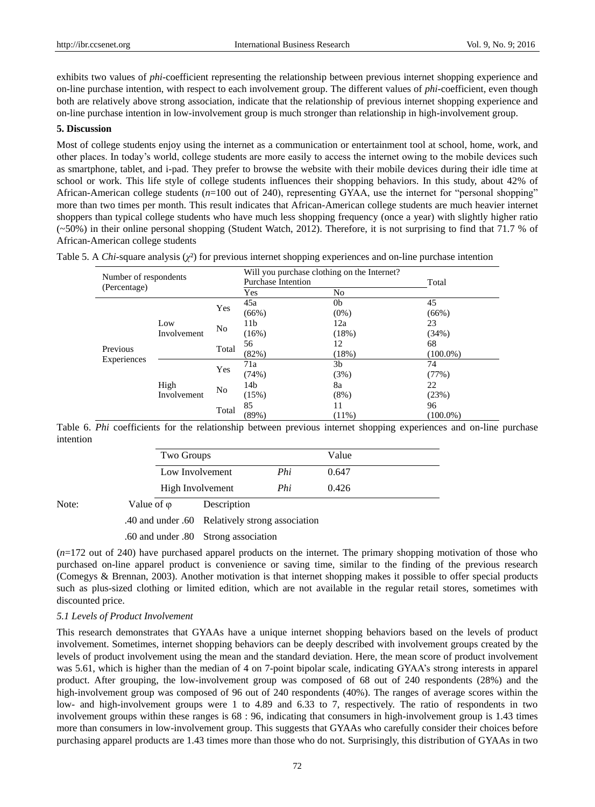exhibits two values of *phi*-coefficient representing the relationship between previous internet shopping experience and on-line purchase intention, with respect to each involvement group. The different values of *phi*-coefficient, even though both are relatively above strong association, indicate that the relationship of previous internet shopping experience and on-line purchase intention in low-involvement group is much stronger than relationship in high-involvement group.

## **5. Discussion**

Most of college students enjoy using the internet as a communication or entertainment tool at school, home, work, and other places. In today's world, college students are more easily to access the internet owing to the mobile devices such as smartphone, tablet, and i-pad. They prefer to browse the website with their mobile devices during their idle time at school or work. This life style of college students influences their shopping behaviors. In this study, about 42% of African-American college students (*n*=100 out of 240), representing GYAA, use the internet for "personal shopping" more than two times per month. This result indicates that African-American college students are much heavier internet shoppers than typical college students who have much less shopping frequency (once a year) with slightly higher ratio  $(-50%)$  in their online personal shopping (Student Watch, 2012). Therefore, it is not surprising to find that 71.7 % of African-American college students

|                         | Number of respondents |       | Will you purchase clothing on the Internet?<br><b>Purchase Intention</b> |                | Total       |
|-------------------------|-----------------------|-------|--------------------------------------------------------------------------|----------------|-------------|
| (Percentage)            |                       | Yes   | N <sub>0</sub>                                                           |                |             |
|                         |                       |       | 45a                                                                      | 0 <sub>b</sub> | 45          |
|                         | Low<br>Involvement    | Yes   | (66%)                                                                    | $(0\%)$        | $(66\%)$    |
|                         |                       | No.   | 11 <sub>b</sub>                                                          | 12a            | 23          |
| Previous<br>Experiences |                       |       | (16%)                                                                    | (18%)          | (34%)       |
|                         |                       |       | 56                                                                       | 12             | 68          |
|                         |                       | Total | (82%)                                                                    | (18%)          | $(100.0\%)$ |
|                         | High<br>Involvement   | Yes   | 71a                                                                      | 3b             | 74          |
|                         |                       |       | (74%)                                                                    | (3%)           | (77%)       |
|                         |                       | No.   | 14 <sub>b</sub>                                                          | 8a             | 22          |
|                         |                       |       | (15%)                                                                    | $(8\%)$        | (23%)       |
|                         |                       |       | 85                                                                       | 11             | 96          |
|                         |                       | Total | (89%)                                                                    | $(11\%)$       | $(100.0\%)$ |

Table 5. A *Chi*-square analysis (*χ*²) for previous internet shopping experiences and on-line purchase intention

Table 6. *Phi* coefficients for the relationship between previous internet shopping experiences and on-line purchase intention

|     | Value |
|-----|-------|
| Phi | 0.647 |
| Phi | 0.426 |
|     |       |

Note:  $Value of \varphi$  Description

.40 and under .60 Relatively strong association

.60 and under .80 Strong association

(*n*=172 out of 240) have purchased apparel products on the internet. The primary shopping motivation of those who purchased on-line apparel product is convenience or saving time, similar to the finding of the previous research (Comegys & Brennan, 2003). Another motivation is that internet shopping makes it possible to offer special products such as plus-sized clothing or limited edition, which are not available in the regular retail stores, sometimes with discounted price.

## *5.1 Levels of Product Involvement*

This research demonstrates that GYAAs have a unique internet shopping behaviors based on the levels of product involvement. Sometimes, internet shopping behaviors can be deeply described with involvement groups created by the levels of product involvement using the mean and the standard deviation. Here, the mean score of product involvement was 5.61, which is higher than the median of 4 on 7-point bipolar scale, indicating GYAA's strong interests in apparel product. After grouping, the low-involvement group was composed of 68 out of 240 respondents (28%) and the high-involvement group was composed of 96 out of 240 respondents (40%). The ranges of average scores within the low- and high-involvement groups were 1 to 4.89 and 6.33 to 7, respectively. The ratio of respondents in two involvement groups within these ranges is 68 : 96, indicating that consumers in high-involvement group is 1.43 times more than consumers in low-involvement group. This suggests that GYAAs who carefully consider their choices before purchasing apparel products are 1.43 times more than those who do not. Surprisingly, this distribution of GYAAs in two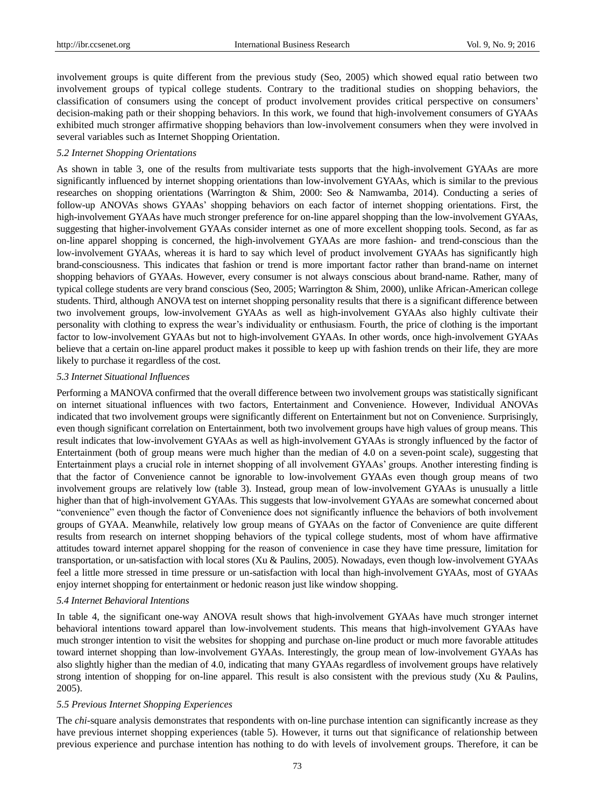involvement groups is quite different from the previous study (Seo, 2005) which showed equal ratio between two involvement groups of typical college students. Contrary to the traditional studies on shopping behaviors, the classification of consumers using the concept of product involvement provides critical perspective on consumers' decision-making path or their shopping behaviors. In this work, we found that high-involvement consumers of GYAAs exhibited much stronger affirmative shopping behaviors than low-involvement consumers when they were involved in several variables such as Internet Shopping Orientation.

## *5.2 Internet Shopping Orientations*

As shown in table 3, one of the results from multivariate tests supports that the high-involvement GYAAs are more significantly influenced by internet shopping orientations than low-involvement GYAAs, which is similar to the previous researches on shopping orientations (Warrington & Shim, 2000: Seo & Namwamba, 2014). Conducting a series of follow-up ANOVAs shows GYAAs' shopping behaviors on each factor of internet shopping orientations. First, the high-involvement GYAAs have much stronger preference for on-line apparel shopping than the low-involvement GYAAs, suggesting that higher-involvement GYAAs consider internet as one of more excellent shopping tools. Second, as far as on-line apparel shopping is concerned, the high-involvement GYAAs are more fashion- and trend-conscious than the low-involvement GYAAs, whereas it is hard to say which level of product involvement GYAAs has significantly high brand-consciousness. This indicates that fashion or trend is more important factor rather than brand-name on internet shopping behaviors of GYAAs. However, every consumer is not always conscious about brand-name. Rather, many of typical college students are very brand conscious (Seo, 2005; Warrington & Shim, 2000), unlike African-American college students. Third, although ANOVA test on internet shopping personality results that there is a significant difference between two involvement groups, low-involvement GYAAs as well as high-involvement GYAAs also highly cultivate their personality with clothing to express the wear's individuality or enthusiasm. Fourth, the price of clothing is the important factor to low-involvement GYAAs but not to high-involvement GYAAs. In other words, once high-involvement GYAAs believe that a certain on-line apparel product makes it possible to keep up with fashion trends on their life, they are more likely to purchase it regardless of the cost.

## *5.3 Internet Situational Influences*

Performing a MANOVA confirmed that the overall difference between two involvement groups was statistically significant on internet situational influences with two factors, Entertainment and Convenience. However, Individual ANOVAs indicated that two involvement groups were significantly different on Entertainment but not on Convenience. Surprisingly, even though significant correlation on Entertainment, both two involvement groups have high values of group means. This result indicates that low-involvement GYAAs as well as high-involvement GYAAs is strongly influenced by the factor of Entertainment (both of group means were much higher than the median of 4.0 on a seven-point scale), suggesting that Entertainment plays a crucial role in internet shopping of all involvement GYAAs' groups. Another interesting finding is that the factor of Convenience cannot be ignorable to low-involvement GYAAs even though group means of two involvement groups are relatively low (table 3). Instead, group mean of low-involvement GYAAs is unusually a little higher than that of high-involvement GYAAs. This suggests that low-involvement GYAAs are somewhat concerned about "convenience" even though the factor of Convenience does not significantly influence the behaviors of both involvement groups of GYAA. Meanwhile, relatively low group means of GYAAs on the factor of Convenience are quite different results from research on internet shopping behaviors of the typical college students, most of whom have affirmative attitudes toward internet apparel shopping for the reason of convenience in case they have time pressure, limitation for transportation, or un-satisfaction with local stores (Xu & Paulins, 2005). Nowadays, even though low-involvement GYAAs feel a little more stressed in time pressure or un-satisfaction with local than high-involvement GYAAs, most of GYAAs enjoy internet shopping for entertainment or hedonic reason just like window shopping.

## *5.4 Internet Behavioral Intentions*

In table 4, the significant one-way ANOVA result shows that high-involvement GYAAs have much stronger internet behavioral intentions toward apparel than low-involvement students. This means that high-involvement GYAAs have much stronger intention to visit the websites for shopping and purchase on-line product or much more favorable attitudes toward internet shopping than low-involvement GYAAs. Interestingly, the group mean of low-involvement GYAAs has also slightly higher than the median of 4.0, indicating that many GYAAs regardless of involvement groups have relatively strong intention of shopping for on-line apparel. This result is also consistent with the previous study (Xu & Paulins, 2005).

## *5.5 Previous Internet Shopping Experiences*

The *chi*-square analysis demonstrates that respondents with on-line purchase intention can significantly increase as they have previous internet shopping experiences (table 5). However, it turns out that significance of relationship between previous experience and purchase intention has nothing to do with levels of involvement groups. Therefore, it can be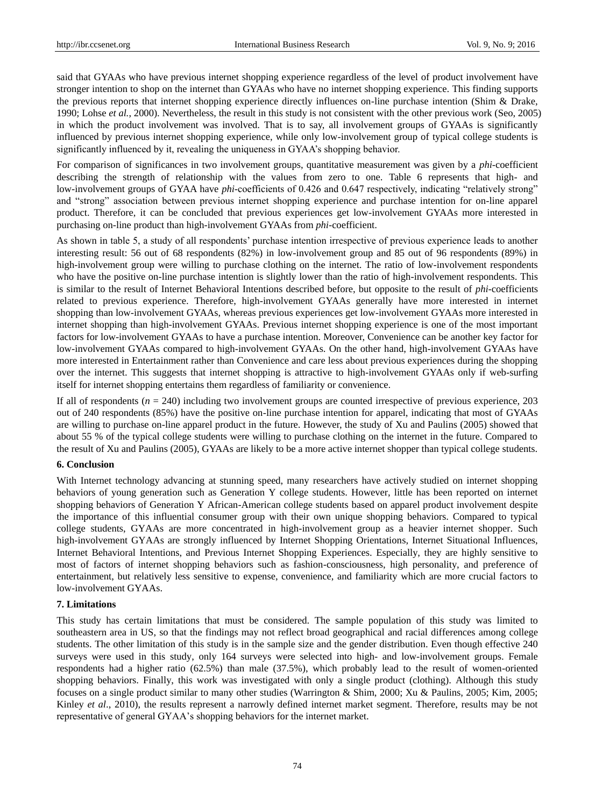said that GYAAs who have previous internet shopping experience regardless of the level of product involvement have stronger intention to shop on the internet than GYAAs who have no internet shopping experience. This finding supports the previous reports that internet shopping experience directly influences on-line purchase intention (Shim & Drake, 1990; Lohse *et al.*, 2000). Nevertheless, the result in this study is not consistent with the other previous work (Seo, 2005) in which the product involvement was involved. That is to say, all involvement groups of GYAAs is significantly influenced by previous internet shopping experience, while only low-involvement group of typical college students is significantly influenced by it, revealing the uniqueness in GYAA's shopping behavior.

For comparison of significances in two involvement groups, quantitative measurement was given by a *phi*-coefficient describing the strength of relationship with the values from zero to one. Table 6 represents that high- and low-involvement groups of GYAA have *phi*-coefficients of 0.426 and 0.647 respectively, indicating "relatively strong" and "strong" association between previous internet shopping experience and purchase intention for on-line apparel product. Therefore, it can be concluded that previous experiences get low-involvement GYAAs more interested in purchasing on-line product than high-involvement GYAAs from *phi*-coefficient.

As shown in table 5, a study of all respondents' purchase intention irrespective of previous experience leads to another interesting result: 56 out of 68 respondents (82%) in low-involvement group and 85 out of 96 respondents (89%) in high-involvement group were willing to purchase clothing on the internet. The ratio of low-involvement respondents who have the positive on-line purchase intention is slightly lower than the ratio of high-involvement respondents. This is similar to the result of Internet Behavioral Intentions described before, but opposite to the result of *phi*-coefficients related to previous experience. Therefore, high-involvement GYAAs generally have more interested in internet shopping than low-involvement GYAAs, whereas previous experiences get low-involvement GYAAs more interested in internet shopping than high-involvement GYAAs. Previous internet shopping experience is one of the most important factors for low-involvement GYAAs to have a purchase intention. Moreover, Convenience can be another key factor for low-involvement GYAAs compared to high-involvement GYAAs. On the other hand, high-involvement GYAAs have more interested in Entertainment rather than Convenience and care less about previous experiences during the shopping over the internet. This suggests that internet shopping is attractive to high-involvement GYAAs only if web-surfing itself for internet shopping entertains them regardless of familiarity or convenience.

If all of respondents  $(n = 240)$  including two involvement groups are counted irrespective of previous experience,  $203$ out of 240 respondents (85%) have the positive on-line purchase intention for apparel, indicating that most of GYAAs are willing to purchase on-line apparel product in the future. However, the study of Xu and Paulins (2005) showed that about 55 % of the typical college students were willing to purchase clothing on the internet in the future. Compared to the result of Xu and Paulins (2005), GYAAs are likely to be a more active internet shopper than typical college students.

## **6. Conclusion**

With Internet technology advancing at stunning speed, many researchers have actively studied on internet shopping behaviors of young generation such as Generation Y college students. However, little has been reported on internet shopping behaviors of Generation Y African-American college students based on apparel product involvement despite the importance of this influential consumer group with their own unique shopping behaviors. Compared to typical college students, GYAAs are more concentrated in high-involvement group as a heavier internet shopper. Such high-involvement GYAAs are strongly influenced by Internet Shopping Orientations, Internet Situational Influences, Internet Behavioral Intentions, and Previous Internet Shopping Experiences. Especially, they are highly sensitive to most of factors of internet shopping behaviors such as fashion-consciousness, high personality, and preference of entertainment, but relatively less sensitive to expense, convenience, and familiarity which are more crucial factors to low-involvement GYAAs.

## **7. Limitations**

This study has certain limitations that must be considered. The sample population of this study was limited to southeastern area in US, so that the findings may not reflect broad geographical and racial differences among college students. The other limitation of this study is in the sample size and the gender distribution. Even though effective 240 surveys were used in this study, only 164 surveys were selected into high- and low-involvement groups. Female respondents had a higher ratio (62.5%) than male (37.5%), which probably lead to the result of women-oriented shopping behaviors. Finally, this work was investigated with only a single product (clothing). Although this study focuses on a single product similar to many other studies (Warrington & Shim, 2000; Xu & Paulins, 2005; Kim, 2005; Kinley *et al*., 2010), the results represent a narrowly defined internet market segment. Therefore, results may be not representative of general GYAA's shopping behaviors for the internet market.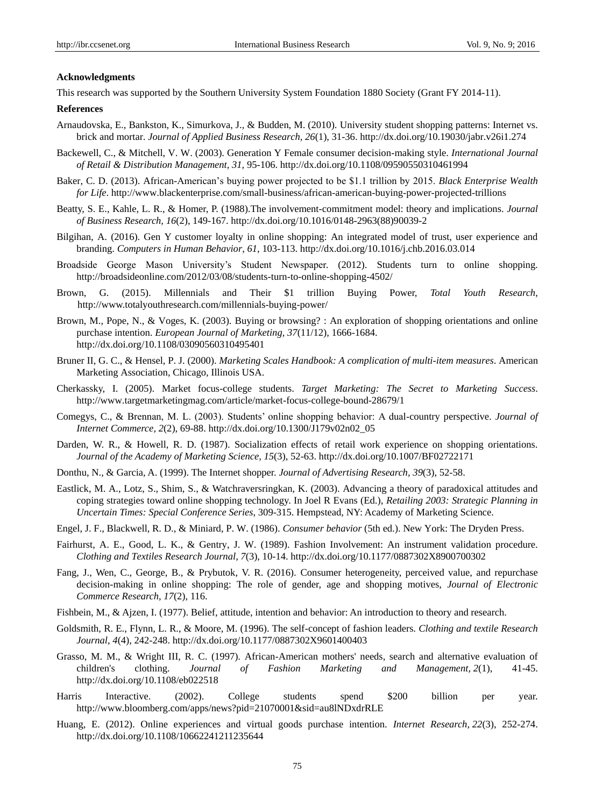## **Acknowledgments**

This research was supported by the Southern University System Foundation 1880 Society (Grant FY 2014-11).

#### **References**

- Arnaudovska, E., Bankston, K., Simurkova, J., & Budden, M. (2010). University student shopping patterns: Internet vs. brick and mortar. *Journal of Applied Business Research, 26*(1), 31-36[. http://dx.doi.org/10.19030/jabr.v26i1.274](http://dx.doi.org/10.19030/jabr.v26i1.274)
- Backewell, C., & Mitchell, V. W. (2003). Generation Y Female consumer decision-making style. *International Journal of Retail & Distribution Management, 31,* 95-106[. http://dx.doi.org/10.1108/09590550310461994](http://dx.doi.org/10.1108/09590550310461994)
- Baker, C. D. (2013). African-American's buying power projected to be \$1.1 trillion by 2015. *Black Enterprise Wealth for Life*. http://www.blackenterprise.com/small-business/african-american-buying-power-projected-trillions
- Beatty, S. E., Kahle, L. R., & Homer, P. (1988).The involvement-commitment model: theory and implications. *Journal of Business Research, 16*(2), 149-167. [http://dx.doi.org/10.1016/0148-2963\(88\)90039-2](http://dx.doi.org/10.1016/0148-2963%2888%2990039-2)
- Bilgihan, A. (2016). Gen Y customer loyalty in online shopping: An integrated model of trust, user experience and branding. *Computers in Human Behavior*, *61*, 103-113[. http://dx.doi.org/10.1016/j.chb.2016.03.014](http://dx.doi.org/10.1016/j.chb.2016.03.014)
- Broadside George Mason University's Student Newspaper. (2012). Students turn to online shopping. http://broadsideonline.com/2012/03/08/students-turn-to-online-shopping-4502/
- [Brown,](http://www.totalyouthresearch.com/author/tyradmin/) G. (2015). Millennials and Their \$1 trillion Buying Power, *Total Youth Research*, http://www.totalyouthresearch.com/millennials-buying-power/
- Brown, M., Pope, N., & Voges, K. (2003). Buying or browsing? : An exploration of shopping orientations and online purchase intention. *European Journal of Marketing, 37*(11/12), 1666-1684. <http://dx.doi.org/10.1108/03090560310495401>
- Bruner II, G. C., & Hensel, P. J. (2000). *Marketing Scales Handbook: A complication of multi-item measures*. American Marketing Association, Chicago, Illinois USA.
- Cherkassky, I. (2005). Market focus-college students. *Target Marketing: The Secret to Marketing Success*. http://www.targetmarketingmag.com/article/market-focus-college-bound-28679/1
- Comegys, C., & Brennan, M. L. (2003). Students' online shopping behavior: A dual-country perspective. *Journal of Internet Commerce, 2*(2), 69-88. [http://dx.doi.org/10.1300/J179v02n02\\_05](http://dx.doi.org/10.1300/J179v02n02_05)
- Darden, W. R., & Howell, R. D. (1987). Socialization effects of retail work experience on shopping orientations. *Journal of the Academy of Marketing Science, 15*(3), 52-63.<http://dx.doi.org/10.1007/BF02722171>
- Donthu, N., & Garcia, A. (1999). The Internet shopper. *Journal of Advertising Research, 39*(3), 52-58.
- Eastlick, M. A., Lotz, S., Shim, S., & Watchraversringkan, K. (2003). Advancing a theory of paradoxical attitudes and coping strategies toward online shopping technology. In Joel R Evans (Ed.), *Retailing 2003: Strategic Planning in Uncertain Times: Special Conference Series*, 309-315. Hempstead, NY: Academy of Marketing Science.
- Engel, J. F., Blackwell, R. D., & Miniard, P. W. (1986). *Consumer behavior* (5th ed.). New York: The Dryden Press.
- Fairhurst, A. E., Good, L. K., & Gentry, J. W. (1989). Fashion Involvement: An instrument validation procedure. *Clothing and Textiles Research Journal, 7*(3), 10-14.<http://dx.doi.org/10.1177/0887302X8900700302>
- Fang, J., Wen, C., George, B., & Prybutok, V. R. (2016). Consumer heterogeneity, perceived value, and repurchase decision-making in online shopping: The role of gender, age and shopping motives, *Journal of Electronic Commerce Research*, *17*(2), 116.
- Fishbein, M., & Ajzen, I. (1977). Belief, attitude, intention and behavior: An introduction to theory and research.
- Goldsmith, R. E., Flynn, L. R., & Moore, M. (1996). The self-concept of fashion leaders. *Clothing and textile Research Journal, 4*(4), 242-248.<http://dx.doi.org/10.1177/0887302X9601400403>
- Grasso, M. M., & Wright III, R. C. (1997). African-American mothers' needs, search and alternative evaluation of children's clothing. *Journal of Fashion Marketing and Management, 2*(1), 41-45. <http://dx.doi.org/10.1108/eb022518>
- Harris Interactive. (2002). College students spend \$200 billion per year. http://www.bloomberg.com/apps/news?pid=21070001&sid=au8lNDxdrRLE
- Huang, E. (2012). Online experiences and virtual goods purchase intention. *Internet Research*, *22*(3), 252-274. <http://dx.doi.org/10.1108/10662241211235644>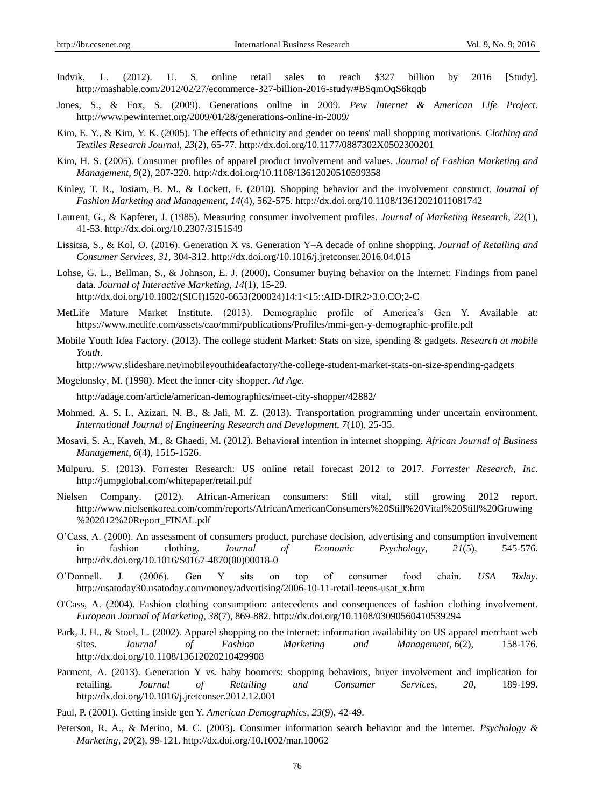- Indvik, L. (2012). U. S. online retail sales to reach \$327 billion by 2016 [Study]. http://mashable.com/2012/02/27/ecommerce-327-billion-2016-study/#BSqmOqS6kqqb
- Jones, S., & Fox, S. (2009). Generations online in 2009. *Pew Internet & American Life Project*. http://www.pewinternet.org/2009/01/28/generations-online-in-2009/
- Kim, E. Y., & Kim, Y. K. (2005). The effects of ethnicity and gender on teens' mall shopping motivations. *Clothing and Textiles Research Journal, 23*(2), 65-77.<http://dx.doi.org/10.1177/0887302X0502300201>
- Kim, H. S. (2005). Consumer profiles of apparel product involvement and values. *Journal of Fashion Marketing and Management, 9*(2), 207-220.<http://dx.doi.org/10.1108/13612020510599358>
- Kinley, T. R., Josiam, B. M., & Lockett, F. (2010). Shopping behavior and the involvement construct. *Journal of Fashion Marketing and Management, 14*(4), 562-575.<http://dx.doi.org/10.1108/13612021011081742>
- Laurent, G., & Kapferer, J. (1985). Measuring consumer involvement profiles. *Journal of Marketing Research, 22*(1), 41-53.<http://dx.doi.org/10.2307/3151549>
- Lissitsa, S., & Kol, O. (2016). Generation X vs. Generation Y–A decade of online shopping. *Journal of Retailing and Consumer Services, 31,* 304-312.<http://dx.doi.org/10.1016/j.jretconser.2016.04.015>
- Lohse, G. L., Bellman, S., & Johnson, E. J. (2000). Consumer buying behavior on the Internet: Findings from panel data. *Journal of Interactive Marketing, 14*(1), 15-29. [http://dx.doi.org/10.1002/\(SICI\)1520-6653\(200024\)14:1<15::AID-DIR2>3.0.CO;2-C](http://dx.doi.org/10.1002/%28SICI%291520-6653%28200024%2914:1%3C15::AID-DIR2%3E3.0.CO;2-C)
- MetLife Mature Market Institute. (2013). Demographic profile of America's Gen Y. Available at: https://www.metlife.com/assets/cao/mmi/publications/Profiles/mmi-gen-y-demographic-profile.pdf
- Mobile Youth Idea Factory. (2013). The college student Market: Stats on size, spending & gadgets. *Research at mobile Youth*.

http://www.slideshare.net/mobileyouthideafactory/the-college-student-market-stats-on-size-spending-gadgets

Mogelonsky, M. (1998). Meet the inner-city shopper. *Ad Age.*

http://adage.com/article/american-demographics/meet-city-shopper/42882/

- Mohmed, A. S. I., Azizan, N. B., & Jali, M. Z. (2013). Transportation programming under uncertain environment. *International Journal of Engineering Research and Development, 7*(10), 25-35.
- Mosavi, S. A., Kaveh, M., & Ghaedi, M. (2012). Behavioral intention in internet shopping. *African Journal of Business Management, 6*(4), 1515-1526.
- Mulpuru, S. (2013). Forrester Research: US online retail forecast 2012 to 2017. *Forrester Research, Inc*. http://jumpglobal.com/whitepaper/retail.pdf
- Nielsen Company. (2012). African-American consumers: Still vital, still growing 2012 report. http://www.nielsenkorea.com/comm/reports/AfricanAmericanConsumers%20Still%20Vital%20Still%20Growing %202012%20Report\_FINAL.pdf
- O'Cass, A. (2000). An assessment of consumers product, purchase decision, advertising and consumption involvement in fashion clothing. *Journal of Economic Psychology, 21*(5), 545-576. [http://dx.doi.org/10.1016/S0167-4870\(00\)00018-0](http://dx.doi.org/10.1016/S0167-4870%2800%2900018-0)
- O'Donnell, J. (2006). Gen Y sits on top of consumer food chain. *USA Today*. http://usatoday30.usatoday.com/money/advertising/2006-10-11-retail-teens-usat\_x.htm
- O'Cass, A. (2004). Fashion clothing consumption: antecedents and consequences of fashion clothing involvement. *European Journal of Marketing, 38*(7), 869-882.<http://dx.doi.org/10.1108/03090560410539294>
- Park, J. H., & Stoel, L. (2002). Apparel shopping on the internet: information availability on US apparel merchant web sites. *Journal of Fashion Marketing and Management, 6*(2), 158-176. <http://dx.doi.org/10.1108/13612020210429908>
- Parment, A. (2013). Generation Y vs. baby boomers: shopping behaviors, buyer involvement and implication for retailing. *Journal of Retailing and Consumer Services, 20,* 189-199. <http://dx.doi.org/10.1016/j.jretconser.2012.12.001>
- Paul, P. (2001). Getting inside gen Y. *American Demographics, 23*(9), 42-49.
- Peterson, R. A., & Merino, M. C. (2003). Consumer information search behavior and the Internet. *Psychology & Marketing, 20*(2), 99-121.<http://dx.doi.org/10.1002/mar.10062>